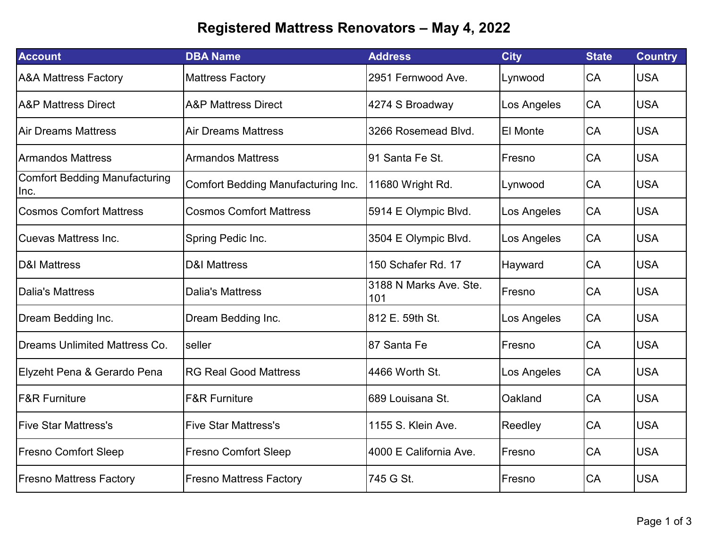## **Registered Mattress Renovators – May 4, 2022**

| <b>Account</b>                               | <b>DBA Name</b>                           | <b>Address</b>                | <b>City</b> | <b>State</b> | <b>Country</b> |
|----------------------------------------------|-------------------------------------------|-------------------------------|-------------|--------------|----------------|
| <b>A&amp;A Mattress Factory</b>              | <b>Mattress Factory</b>                   | 2951 Fernwood Ave.            | Lynwood     | CA           | <b>USA</b>     |
| <b>IA&amp;P Mattress Direct</b>              | <b>A&amp;P Mattress Direct</b>            | 4274 S Broadway               | Los Angeles | CA           | <b>USA</b>     |
| <b>Air Dreams Mattress</b>                   | <b>Air Dreams Mattress</b>                | 3266 Rosemead Blvd.           | El Monte    | CA           | <b>USA</b>     |
| <b>Armandos Mattress</b>                     | <b>Armandos Mattress</b>                  | I91 Santa Fe St.              | Fresno      | CA           | <b>USA</b>     |
| <b>Comfort Bedding Manufacturing</b><br>Inc. | <b>Comfort Bedding Manufacturing Inc.</b> | 11680 Wright Rd.              | Lynwood     | CA           | <b>USA</b>     |
| <b>Cosmos Comfort Mattress</b>               | <b>Cosmos Comfort Mattress</b>            | 5914 E Olympic Blvd.          | Los Angeles | CA           | <b>USA</b>     |
| <b>Cuevas Mattress Inc.</b>                  | Spring Pedic Inc.                         | 3504 E Olympic Blvd.          | Los Angeles | CA           | <b>USA</b>     |
| <b>D&amp;I Mattress</b>                      | <b>D&amp;I Mattress</b>                   | 150 Schafer Rd. 17            | Hayward     | CA           | <b>USA</b>     |
| <b>Dalia's Mattress</b>                      | <b>Dalia's Mattress</b>                   | 3188 N Marks Ave. Ste.<br>101 | Fresno      | CA           | <b>USA</b>     |
| Dream Bedding Inc.                           | Dream Bedding Inc.                        | 812 E. 59th St.               | Los Angeles | CA           | <b>USA</b>     |
| <b>Dreams Unlimited Mattress Co.</b>         | seller                                    | I87 Santa Fe                  | Fresno      | CA           | <b>USA</b>     |
| Elyzeht Pena & Gerardo Pena                  | <b>RG Real Good Mattress</b>              | 4466 Worth St.                | Los Angeles | CA           | <b>USA</b>     |
| <b>F&amp;R Furniture</b>                     | <b>F&amp;R Furniture</b>                  | 689 Louisana St.              | Oakland     | CA           | <b>USA</b>     |
| <b>IFive Star Mattress's</b>                 | <b>Five Star Mattress's</b>               | 1155 S. Klein Ave.            | Reedley     | CA           | <b>USA</b>     |
| <b>Fresno Comfort Sleep</b>                  | <b>Fresno Comfort Sleep</b>               | 4000 E California Ave.        | Fresno      | CA           | <b>USA</b>     |
| <b>Fresno Mattress Factory</b>               | <b>Fresno Mattress Factory</b>            | 745 G St.                     | Fresno      | CA           | <b>USA</b>     |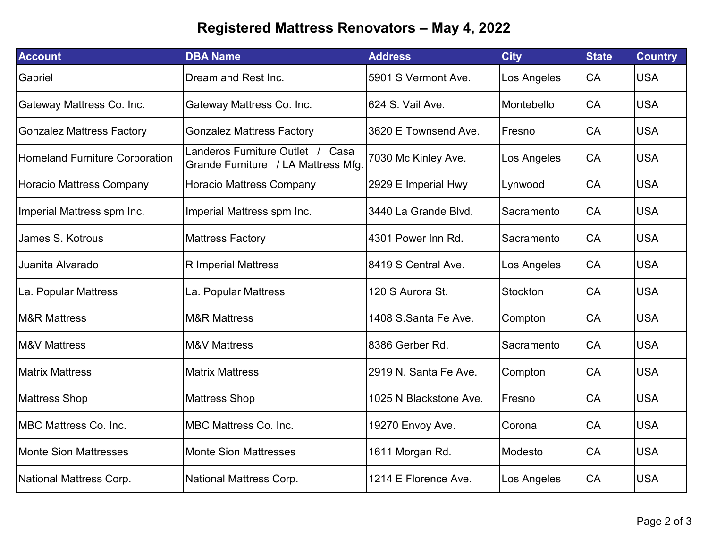## **Registered Mattress Renovators – May 4, 2022**

| <b>Account</b>                        | <b>DBA Name</b>                                                         | <b>Address</b>         | <b>City</b>    | <b>State</b> | <b>Country</b> |
|---------------------------------------|-------------------------------------------------------------------------|------------------------|----------------|--------------|----------------|
| Gabriel                               | Dream and Rest Inc.                                                     | 5901 S Vermont Ave.    | Los Angeles    | CA           | <b>USA</b>     |
| Gateway Mattress Co. Inc.             | Gateway Mattress Co. Inc.                                               | 624 S. Vail Ave.       | Montebello     | CA           | <b>USA</b>     |
| <b>Gonzalez Mattress Factory</b>      | <b>Gonzalez Mattress Factory</b>                                        | 3620 E Townsend Ave.   | <b>IFresno</b> | CA           | <b>USA</b>     |
| <b>Homeland Furniture Corporation</b> | Landeros Furniture Outlet / Casa<br>Grande Furniture / LA Mattress Mfg. | 7030 Mc Kinley Ave.    | Los Angeles    | CA           | <b>USA</b>     |
| <b>Horacio Mattress Company</b>       | <b>Horacio Mattress Company</b>                                         | 2929 E Imperial Hwy    | Lynwood        | CA           | <b>USA</b>     |
| Imperial Mattress spm Inc.            | Imperial Mattress spm Inc.                                              | 3440 La Grande Blvd.   | Sacramento     | CA           | <b>USA</b>     |
| James S. Kotrous                      | <b>Mattress Factory</b>                                                 | 4301 Power Inn Rd.     | Sacramento     | <b>CA</b>    | <b>USA</b>     |
| Juanita Alvarado                      | <b>R</b> Imperial Mattress                                              | 8419 S Central Ave.    | Los Angeles    | <b>CA</b>    | <b>USA</b>     |
| La. Popular Mattress                  | La. Popular Mattress                                                    | 120 S Aurora St.       | Stockton       | CA           | <b>USA</b>     |
| <b>M&amp;R Mattress</b>               | <b>M&amp;R Mattress</b>                                                 | 1408 S.Santa Fe Ave.   | Compton        | CA           | <b>USA</b>     |
| <b>M&amp;V Mattress</b>               | <b>M&amp;V Mattress</b>                                                 | I8386 Gerber Rd.       | Sacramento     | CA           | <b>USA</b>     |
| <b>Matrix Mattress</b>                | <b>Matrix Mattress</b>                                                  | 2919 N. Santa Fe Ave.  | Compton        | CA           | <b>USA</b>     |
| <b>Mattress Shop</b>                  | <b>Mattress Shop</b>                                                    | 1025 N Blackstone Ave. | Fresno         | CA           | <b>USA</b>     |
| <b>MBC Mattress Co. Inc.</b>          | <b>MBC Mattress Co. Inc.</b>                                            | 19270 Envoy Ave.       | Corona         | <b>CA</b>    | <b>USA</b>     |
| <b>Monte Sion Mattresses</b>          | <b>Monte Sion Mattresses</b>                                            | 1611 Morgan Rd.        | Modesto        | CA           | <b>USA</b>     |
| National Mattress Corp.               | <b>National Mattress Corp.</b>                                          | 1214 E Florence Ave.   | Los Angeles    | CA           | <b>USA</b>     |